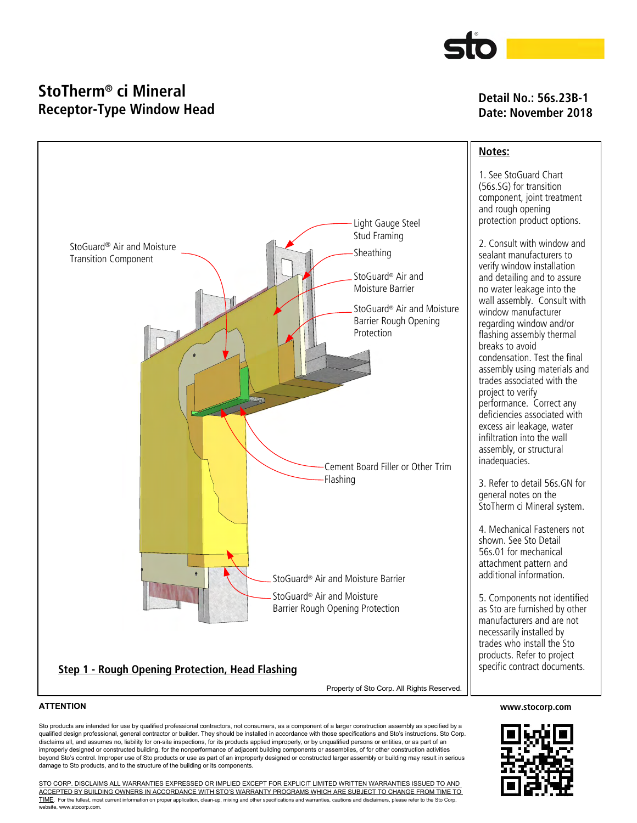

# **StoTherm® ci Mineral Receptor-Type Window Head**

## **Detail No.: 56s.23B-1 Date: November 2018**



Sto products are intended for use by qualified professional contractors, not consumers, as a component of a larger construction assembly as specified by a qualified design professional, general contractor or builder. They should be installed in accordance with those specifications and Sto's instructions. Sto Corp. disclaims all, and assumes no, liability for on-site inspections, for its products applied improperly, or by unqualified persons or entities, or as part of an improperly designed or constructed building, for the nonperformance of adjacent building components or assemblies, of for other construction activities beyond Sto's control. Improper use of Sto products or use as part of an improperly designed or constructed larger assembly or building may result in serious damage to Sto products, and to the structure of the building or its components.

STO CORP. DISCLAIMS ALL WARRANTIES EXPRESSED OR IMPLIED EXCEPT FOREXPLICIT LIMITED WRITTEN WARRANTIES ISSUED TO AND ACCEPTED BY BUILDING OWNERS IN ACCORDANCE WITH STO'S WARRANTY PROGRAMS WHICH ARE SUBJECT TO CHANGE FROM TIME TO TIME. For the fullest, most current information on proper application, clean-up, mixing and other specifications and warranties, cautions and disclaimers, please refer to the Sto Corp. website, www.stocorp.com.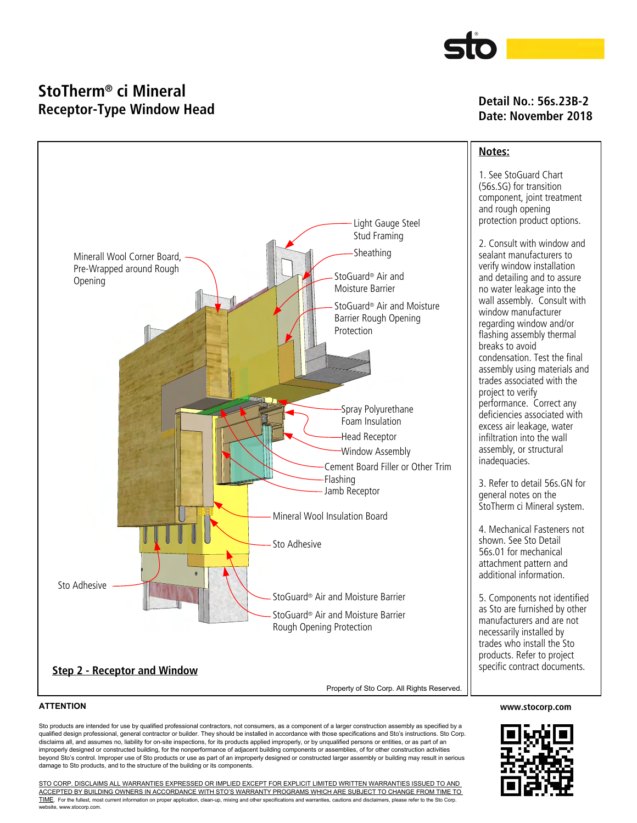

## **StoTherm® ci Mineral Receptor-Type Window Head**

### **Detail No.: 56s.23B-2 Date: November 2018**



### **ATTENTION**

Sto products are intended for use by qualified professional contractors, not consumers, as a component of a larger construction assembly as specified by a qualified design professional, general contractor or builder. They should be installed in accordance with those specifications and Sto's instructions. Sto Corp. disclaims all, and assumes no, liability for on-site inspections, for its products applied improperly, or by unqualified persons or entities, or as part of an improperly designed or constructed building, for the nonperformance of adjacent building components or assemblies, of for other construction activities beyond Sto's control. Improper use of Sto products or use as part of an improperly designed or constructed larger assembly or building may result in serious damage to Sto products, and to the structure of the building or its components.

STO CORP. DISCLAIMS ALL WARRANTIES EXPRESSED OR IMPLIED EXCEPT FOREXPLICIT LIMITED WRITTEN WARRANTIES ISSUED TO AND ACCEPTED BY BUILDING OWNERS IN ACCORDANCE WITH STO'S WARRANTY PROGRAMS WHICH ARE SUBJECT TO CHANGE FROM TIME TO TIME. For the fullest, most current information on proper application, clean-up, mixing and other specifications and warranties, cautions and disclaimers, please refer to the Sto Corp. website, www.stocorp.com.

#### **www.stocorp.com**